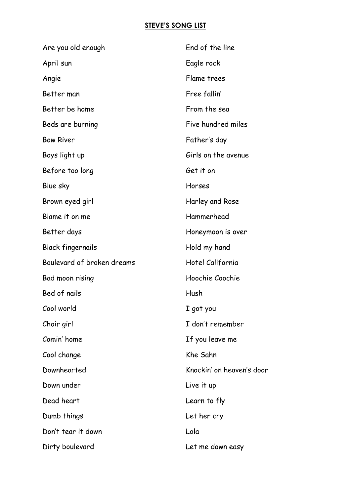## **STEVE'S SONG LIST**

| Are you old enough         | End of the line           |
|----------------------------|---------------------------|
| April sun                  | Eagle rock                |
| Angie                      | Flame trees               |
| Better man                 | Free fallin'              |
| Better be home             | From the sea              |
| Beds are burning           | Five hundred miles        |
| <b>Bow River</b>           | Father's day              |
| Boys light up              | Girls on the avenue       |
| Before too long            | Get it on                 |
| Blue sky                   | Horses                    |
| Brown eyed girl            | Harley and Rose           |
| Blame it on me             | Hammerhead                |
| Better days                | Honeymoon is over         |
| <b>Black fingernails</b>   | Hold my hand              |
| Boulevard of broken dreams | Hotel California          |
| Bad moon rising            | Hoochie Coochie           |
| Bed of nails               | Hush                      |
| Cool world                 | I got you                 |
| Choir girl                 | I don't remember          |
| Comin' home                | If you leave me           |
| Cool change                | Khe Sahn                  |
| Downhearted                | Knockin' on heaven's door |
| Down under                 | Live it up                |
| Dead heart                 | Learn to fly              |
| Dumb things                | Let her cry               |
| Don't tear it down         | Lola                      |
| Dirty boulevard            | Let me down easy          |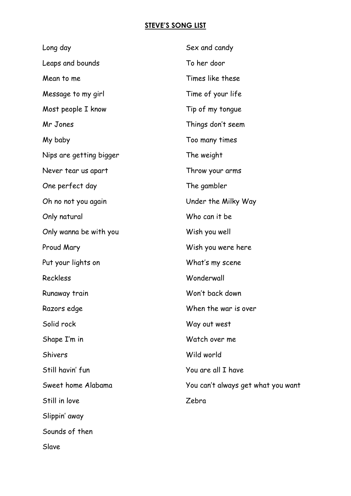## **STEVE'S SONG LIST**

| Long day                | Sex and candy                      |
|-------------------------|------------------------------------|
| Leaps and bounds        | To her door                        |
| Mean to me              | Times like these                   |
| Message to my girl      | Time of your life                  |
| Most people I know      | Tip of my tonque                   |
| Mr Jones                | Things don't seem                  |
| My baby                 | Too many times                     |
| Nips are getting bigger | The weight                         |
| Never tear us apart     | Throw your arms                    |
| One perfect day         | The gambler                        |
| Oh no not you again     | Under the Milky Way                |
| Only natural            | Who can it be                      |
| Only wanna be with you  | Wish you well                      |
| Proud Mary              | Wish you were here                 |
| Put your lights on      | What's my scene                    |
| Reckless                | Wonderwall                         |
| Runaway train           | Won't back down                    |
| Razors edge             | When the war is over               |
| Solid rock              | Way out west                       |
| Shape I'm in            | Watch over me                      |
| <b>Shivers</b>          | Wild world                         |
| Still havin' fun        | You are all I have                 |
| Sweet home Alabama      | You can't always get what you want |
| Still in love           | Zebra                              |
| Slippin' away           |                                    |
| Sounds of then          |                                    |

Slave